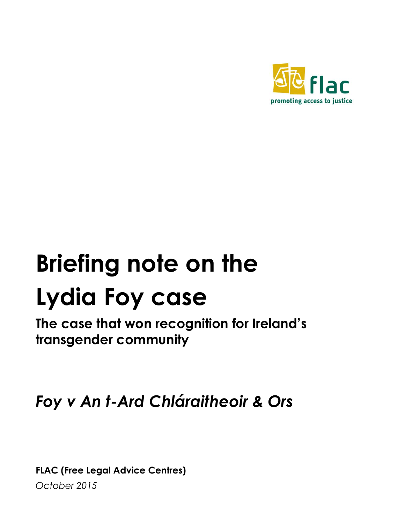

# **Briefing note on the Lydia Foy case**

**The case that won recognition for Ireland's transgender community**

*Foy v An t-Ard Chláraitheoir & Ors*

**FLAC (Free Legal Advice Centres)**

*October 2015*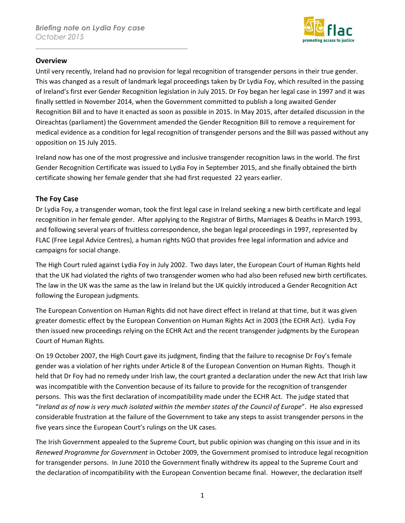\_\_\_\_\_\_\_\_\_\_\_\_\_\_\_\_\_\_\_\_\_\_\_\_\_\_\_\_\_\_\_\_\_\_\_\_\_\_\_\_\_\_



#### **Overview**

Until very recently, Ireland had no provision for legal recognition of transgender persons in their true gender. This was changed as a result of landmark legal proceedings taken by Dr Lydia Foy, which resulted in the passing of Ireland's first ever Gender Recognition legislation in July 2015. Dr Foy began her legal case in 1997 and it was finally settled in November 2014, when the Government committed to publish a long awaited Gender Recognition Bill and to have it enacted as soon as possible in 2015. In May 2015, after detailed discussion in the Oireachtas (parliament) the Government amended the Gender Recognition Bill to remove a requirement for medical evidence as a condition for legal recognition of transgender persons and the Bill was passed without any opposition on 15 July 2015.

Ireland now has one of the most progressive and inclusive transgender recognition laws in the world. The first Gender Recognition Certificate was issued to Lydia Foy in September 2015, and she finally obtained the birth certificate showing her female gender that she had first requested 22 years earlier.

## **The Foy Case**

Dr Lydia Foy, a transgender woman, took the first legal case in Ireland seeking a new birth certificate and legal recognition in her female gender. After applying to the Registrar of Births, Marriages & Deaths in March 1993, and following several years of fruitless correspondence, she began legal proceedings in 1997, represented by FLAC (Free Legal Advice Centres), a human rights NGO that provides free legal information and advice and campaigns for social change.

The High Court ruled against Lydia Foy in July 2002. Two days later, the European Court of Human Rights held that the UK had violated the rights of two transgender women who had also been refused new birth certificates. The law in the UK was the same as the law in Ireland but the UK quickly introduced a Gender Recognition Act following the European judgments.

The European Convention on Human Rights did not have direct effect in Ireland at that time, but it was given greater domestic effect by the European Convention on Human Rights Act in 2003 (the ECHR Act). Lydia Foy then issued new proceedings relying on the ECHR Act and the recent transgender judgments by the European Court of Human Rights.

On 19 October 2007, the High Court gave its judgment, finding that the failure to recognise Dr Foy's female gender was a violation of her rights under Article 8 of the European Convention on Human Rights. Though it held that Dr Foy had no remedy under Irish law, the court granted a declaration under the new Act that Irish law was incompatible with the Convention because of its failure to provide for the recognition of transgender persons. This was the first declaration of incompatibility made under the ECHR Act. The judge stated that "*Ireland as of now is very much isolated within the member states of the Council of Europe*". He also expressed considerable frustration at the failure of the Government to take any steps to assist transgender persons in the five years since the European Court's rulings on the UK cases.

The Irish Government appealed to the Supreme Court, but public opinion was changing on this issue and in its *Renewed Programme for Government* in October 2009, the Government promised to introduce legal recognition for transgender persons. In June 2010 the Government finally withdrew its appeal to the Supreme Court and the declaration of incompatibility with the European Convention became final. However, the declaration itself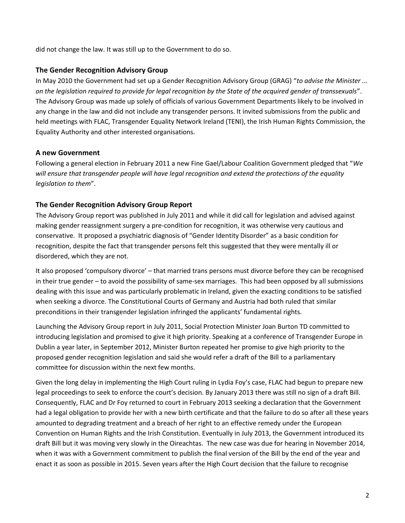did not change the law. It was still up to the Government to do so.

## **The Gender Recognition Advisory Group**

In May 2010 the Government had set up a Gender Recognition Advisory Group (GRAG) "*to advise the Minister ... on the legislation required to provide for legal recognition by the State of the acquired gender of transsexuals*". The Advisory Group was made up solely of officials of various Government Departments likely to be involved in any change in the law and did not include any transgender persons. It invited submissions from the public and held meetings with FLAC, Transgender Equality Network Ireland (TENI), the Irish Human Rights Commission, the Equality Authority and other interested organisations.

## **A new Government**

Following a general election in February 2011 a new Fine Gael/Labour Coalition Government pledged that "*We will ensure that transgender people will have legal recognition and extend the protections of the equality legislation to them*".

## **The Gender Recognition Advisory Group Report**

The Advisory Group report was published in July 2011 and while it did call for legislation and advised against making gender reassignment surgery a pre-condition for recognition, it was otherwise very cautious and conservative. It proposed a psychiatric diagnosis of "Gender Identity Disorder" as a basic condition for recognition, despite the fact that transgender persons felt this suggested that they were mentally ill or disordered, which they are not.

It also proposed 'compulsory divorce' – that married trans persons must divorce before they can be recognised in their true gender – to avoid the possibility of same-sex marriages. This had been opposed by all submissions dealing with this issue and was particularly problematic in Ireland, given the exacting conditions to be satisfied when seeking a divorce. The Constitutional Courts of Germany and Austria had both ruled that similar preconditions in their transgender legislation infringed the applicants' fundamental rights.

Launching the Advisory Group report in July 2011, Social Protection Minister Joan Burton TD committed to introducing legislation and promised to give it high priority. Speaking at a conference of Transgender Europe in Dublin a year later, in September 2012, Minister Burton repeated her promise to give high priority to the proposed gender recognition legislation and said she would refer a draft of the Bill to a parliamentary committee for discussion within the next few months.

Given the long delay in implementing the High Court ruling in Lydia Foy's case, FLAC had begun to prepare new legal proceedings to seek to enforce the court's decision. By January 2013 there was still no sign of a draft Bill. Consequently, FLAC and Dr Foy returned to court in February 2013 seeking a declaration that the Government had a legal obligation to provide her with a new birth certificate and that the failure to do so after all these years amounted to degrading treatment and a breach of her right to an effective remedy under the European Convention on Human Rights and the Irish Constitution. Eventually in July 2013, the Government introduced its draft Bill but it was moving very slowly in the Oireachtas. The new case was due for hearing in November 2014, when it was with a Government commitment to publish the final version of the Bill by the end of the year and enact it as soon as possible in 2015. Seven years after the High Court decision that the failure to recognise